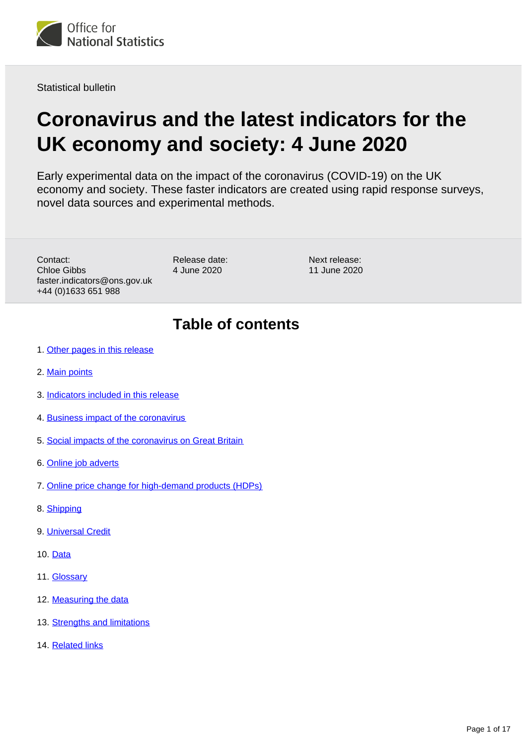

Statistical bulletin

# **Coronavirus and the latest indicators for the UK economy and society: 4 June 2020**

Early experimental data on the impact of the coronavirus (COVID-19) on the UK economy and society. These faster indicators are created using rapid response surveys, novel data sources and experimental methods.

Contact: Chloe Gibbs faster.indicators@ons.gov.uk +44 (0)1633 651 988

Release date: 4 June 2020

Next release: 11 June 2020

## **Table of contents**

- 1. [Other pages in this release](#page-1-0)
- 2. [Main points](#page-1-1)
- 3. [Indicators included in this release](#page-1-2)
- 4. [Business impact of the coronavirus](#page-2-0)
- 5. [Social impacts of the coronavirus on Great Britain](#page-5-0)
- 6. [Online job adverts](#page-6-0)
- 7. [Online price change for high-demand products \(HDPs\)](#page-7-0)
- 8. [Shipping](#page-11-0)
- 9. [Universal Credit](#page-12-0)
- 10. [Data](#page-13-0)
- 11. [Glossary](#page-13-1)
- 12. [Measuring the data](#page-14-0)
- 13. [Strengths and limitations](#page-15-0)
- 14. [Related links](#page-16-0)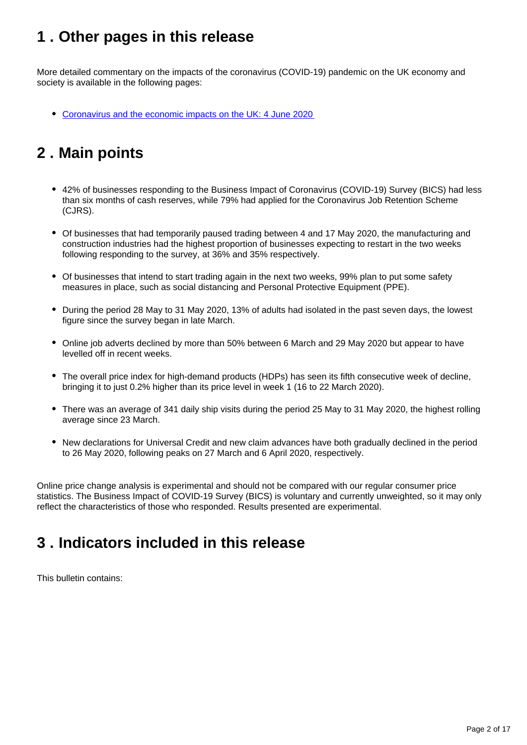## <span id="page-1-0"></span>**1 . Other pages in this release**

More detailed commentary on the impacts of the coronavirus (COVID-19) pandemic on the UK economy and society is available in the following pages:

[Coronavirus and the economic impacts on the UK: 4 June 2020](https://www.ons.gov.uk/releases/coronavirusandtheeconomicimpactsonuk4june2020)

## <span id="page-1-1"></span>**2 . Main points**

- 42% of businesses responding to the Business Impact of Coronavirus (COVID-19) Survey (BICS) had less than six months of cash reserves, while 79% had applied for the Coronavirus Job Retention Scheme (CJRS).
- Of businesses that had temporarily paused trading between 4 and 17 May 2020, the manufacturing and construction industries had the highest proportion of businesses expecting to restart in the two weeks following responding to the survey, at 36% and 35% respectively.
- Of businesses that intend to start trading again in the next two weeks, 99% plan to put some safety measures in place, such as social distancing and Personal Protective Equipment (PPE).
- During the period 28 May to 31 May 2020, 13% of adults had isolated in the past seven days, the lowest figure since the survey began in late March.
- Online job adverts declined by more than 50% between 6 March and 29 May 2020 but appear to have levelled off in recent weeks.
- The overall price index for high-demand products (HDPs) has seen its fifth consecutive week of decline, bringing it to just 0.2% higher than its price level in week 1 (16 to 22 March 2020).
- There was an average of 341 daily ship visits during the period 25 May to 31 May 2020, the highest rolling average since 23 March.
- New declarations for Universal Credit and new claim advances have both gradually declined in the period to 26 May 2020, following peaks on 27 March and 6 April 2020, respectively.

Online price change analysis is experimental and should not be compared with our regular consumer price statistics. The Business Impact of COVID-19 Survey (BICS) is voluntary and currently unweighted, so it may only reflect the characteristics of those who responded. Results presented are experimental.

## <span id="page-1-2"></span>**3 . Indicators included in this release**

This bulletin contains: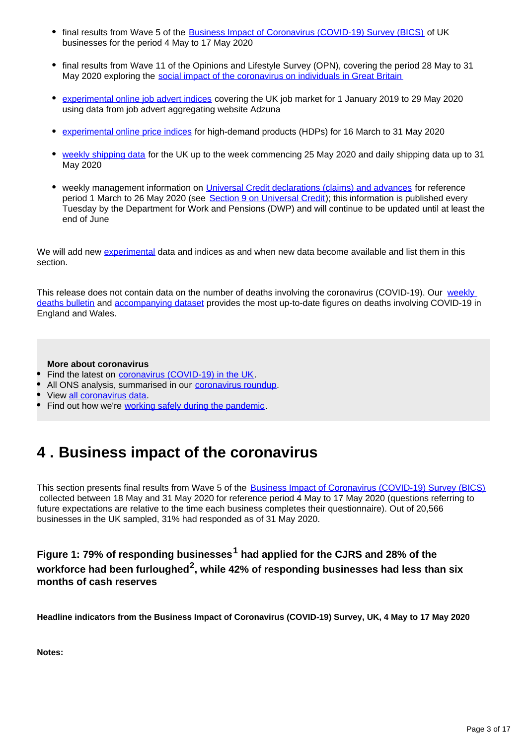- final results from Wave 5 of the [Business Impact of Coronavirus \(COVID-19\) Survey \(BICS\)](https://www.ons.gov.uk/peoplepopulationandcommunity/healthandsocialcare/conditionsanddiseases/bulletins/coronavirustheukeconomyandsocietyfasterindicators/28may2020#business-impact-of-the-coronavirus) of UK businesses for the period 4 May to 17 May 2020
- final results from Wave 11 of the Opinions and Lifestyle Survey (OPN), covering the period 28 May to 31 May 2020 exploring the [social impact of the coronavirus on individuals in Great Britain](https://www.ons.gov.uk/peoplepopulationandcommunity/healthandsocialcare/healthandwellbeing/bulletins/coronavirusandthesocialimpactsongreatbritain/latest)
- [experimental online job advert indices](https://www.ons.gov.uk/peoplepopulationandcommunity/healthandsocialcare/conditionsanddiseases/bulletins/coronavirustheukeconomyandsocietyfasterindicators/28may2020#online-job-adverts) covering the UK job market for 1 January 2019 to 29 May 2020 using data from job advert aggregating website Adzuna
- [experimental online price indices](https://www.ons.gov.uk/peoplepopulationandcommunity/healthandsocialcare/conditionsanddiseases/bulletins/coronavirustheukeconomyandsocietyfasterindicators/28may2020#online-price-change-for-high-demand-products-hdps) for high-demand products (HDPs) for 16 March to 31 May 2020
- [weekly shipping data](https://www.ons.gov.uk/peoplepopulationandcommunity/healthandsocialcare/conditionsanddiseases/bulletins/coronavirustheukeconomyandsocietyfasterindicators/28may2020#shipping) for the UK up to the week commencing 25 May 2020 and daily shipping data up to 31 May 2020
- weekly management information on *Universal Credit declarations (claims)* and advances for reference period 1 March to 26 May 2020 (see [Section 9 on Universal Credit\)](https://www.ons.gov.uk/peoplepopulationandcommunity/healthandsocialcare/conditionsanddiseases/bulletins/coronavirustheukeconomyandsocietyfasterindicators/4june2020#universal-credit); this information is published every Tuesday by the Department for Work and Pensions (DWP) and will continue to be updated until at least the end of June

We will add new [experimental](https://www.ons.gov.uk/methodology/methodologytopicsandstatisticalconcepts/guidetoexperimentalstatistics) data and indices as and when new data become available and list them in this section.

This release does not contain data on the number of deaths involving the coronavirus (COVID-19). Our weekly [deaths bulletin](https://www.ons.gov.uk/peoplepopulationandcommunity/birthsdeathsandmarriages/deaths/bulletins/deathsregisteredweeklyinenglandandwalesprovisional/latest) and [accompanying dataset](https://www.ons.gov.uk/peoplepopulationandcommunity/birthsdeathsandmarriages/deaths/datasets/weeklyprovisionalfiguresondeathsregisteredinenglandandwales) provides the most up-to-date figures on deaths involving COVID-19 in England and Wales.

### **More about coronavirus**

- Find the latest on [coronavirus \(COVID-19\) in the UK](https://www.ons.gov.uk/peoplepopulationandcommunity/healthandsocialcare/conditionsanddiseases/bulletins/coronavirustheukeconomyandsocietyfasterindicators/latest).
- All ONS analysis, summarised in our [coronavirus roundup.](https://www.ons.gov.uk/peoplepopulationandcommunity/healthandsocialcare/conditionsanddiseases/articles/coronaviruscovid19roundup/latest)
- View [all coronavirus data.](https://www.ons.gov.uk/peoplepopulationandcommunity/healthandsocialcare/conditionsanddiseases/datalist)
- Find out how we're [working safely during the pandemic.](https://www.ons.gov.uk/news/statementsandletters/ensuringyoursafetyduringcovid19)

## <span id="page-2-0"></span>**4 . Business impact of the coronavirus**

This section presents final results from Wave 5 of the **[Business Impact of Coronavirus \(COVID-19\) Survey \(BICS\)](https://www.ons.gov.uk/surveys/informationforbusinesses/businesssurveys/businessimpactofcoronaviruscovid19survey)**  collected between 18 May and 31 May 2020 for reference period 4 May to 17 May 2020 (questions referring to future expectations are relative to the time each business completes their questionnaire). Out of 20,566 businesses in the UK sampled, 31% had responded as of 31 May 2020.

### Figure 1: 79% of responding businesses<sup>1</sup> had applied for the CJRS and 28% of the workforce had been furloughed<sup>2</sup>, while 42% of responding businesses had less than six **months of cash reserves**

**Headline indicators from the Business Impact of Coronavirus (COVID-19) Survey, UK, 4 May to 17 May 2020**

**Notes:**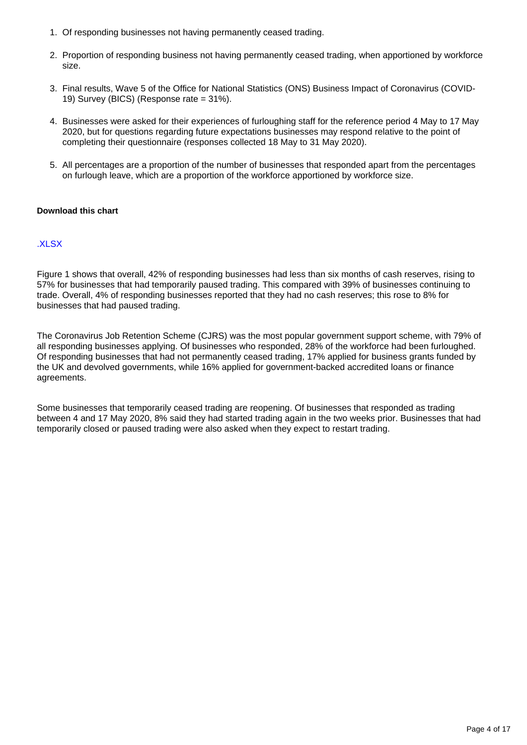- 1. Of responding businesses not having permanently ceased trading.
- 2. Proportion of responding business not having permanently ceased trading, when apportioned by workforce size.
- 3. Final results, Wave 5 of the Office for National Statistics (ONS) Business Impact of Coronavirus (COVID-19) Survey (BICS) (Response rate = 31%).
- 4. Businesses were asked for their experiences of furloughing staff for the reference period 4 May to 17 May 2020, but for questions regarding future expectations businesses may respond relative to the point of completing their questionnaire (responses collected 18 May to 31 May 2020).
- 5. All percentages are a proportion of the number of businesses that responded apart from the percentages on furlough leave, which are a proportion of the workforce apportioned by workforce size.

#### **Download this chart**

### [.XLSX](https://www.ons.gov.uk/visualisations/dvc840/bics/wrapper/datadownload.xlsx )

Figure 1 shows that overall, 42% of responding businesses had less than six months of cash reserves, rising to 57% for businesses that had temporarily paused trading. This compared with 39% of businesses continuing to trade. Overall, 4% of responding businesses reported that they had no cash reserves; this rose to 8% for businesses that had paused trading.

The Coronavirus Job Retention Scheme (CJRS) was the most popular government support scheme, with 79% of all responding businesses applying. Of businesses who responded, 28% of the workforce had been furloughed. Of responding businesses that had not permanently ceased trading, 17% applied for business grants funded by the UK and devolved governments, while 16% applied for government-backed accredited loans or finance agreements.

Some businesses that temporarily ceased trading are reopening. Of businesses that responded as trading between 4 and 17 May 2020, 8% said they had started trading again in the two weeks prior. Businesses that had temporarily closed or paused trading were also asked when they expect to restart trading.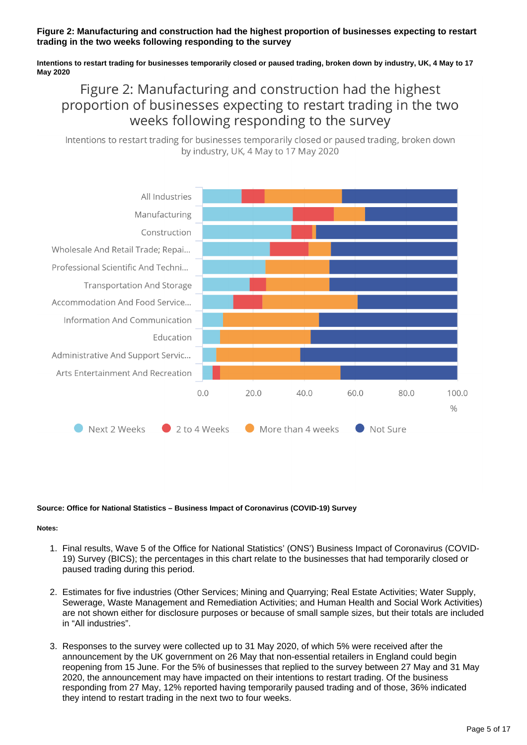### **Figure 2: Manufacturing and construction had the highest proportion of businesses expecting to restart trading in the two weeks following responding to the survey**

**Intentions to restart trading for businesses temporarily closed or paused trading, broken down by industry, UK, 4 May to 17 May 2020**

## Figure 2: Manufacturing and construction had the highest proportion of businesses expecting to restart trading in the two weeks following responding to the survey

Intentions to restart trading for businesses temporarily closed or paused trading, broken down by industry, UK, 4 May to 17 May 2020



#### **Source: Office for National Statistics – Business Impact of Coronavirus (COVID-19) Survey**

#### **Notes:**

- 1. Final results, Wave 5 of the Office for National Statistics' (ONS') Business Impact of Coronavirus (COVID-19) Survey (BICS); the percentages in this chart relate to the businesses that had temporarily closed or paused trading during this period.
- 2. Estimates for five industries (Other Services; Mining and Quarrying; Real Estate Activities; Water Supply, Sewerage, Waste Management and Remediation Activities; and Human Health and Social Work Activities) are not shown either for disclosure purposes or because of small sample sizes, but their totals are included in "All industries".
- 3. Responses to the survey were collected up to 31 May 2020, of which 5% were received after the announcement by the UK government on 26 May that non-essential retailers in England could begin reopening from 15 June. For the 5% of businesses that replied to the survey between 27 May and 31 May 2020, the announcement may have impacted on their intentions to restart trading. Of the business responding from 27 May, 12% reported having temporarily paused trading and of those, 36% indicated they intend to restart trading in the next two to four weeks.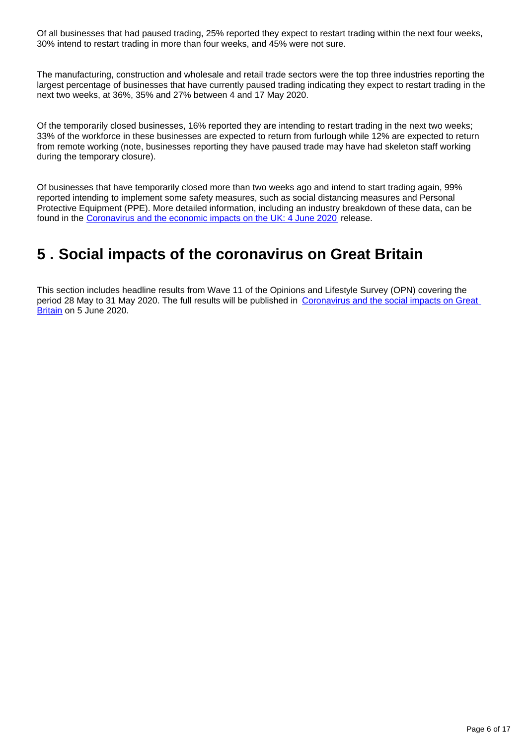Of all businesses that had paused trading, 25% reported they expect to restart trading within the next four weeks, 30% intend to restart trading in more than four weeks, and 45% were not sure.

The manufacturing, construction and wholesale and retail trade sectors were the top three industries reporting the largest percentage of businesses that have currently paused trading indicating they expect to restart trading in the next two weeks, at 36%, 35% and 27% between 4 and 17 May 2020.

Of the temporarily closed businesses, 16% reported they are intending to restart trading in the next two weeks; 33% of the workforce in these businesses are expected to return from furlough while 12% are expected to return from remote working (note, businesses reporting they have paused trade may have had skeleton staff working during the temporary closure).

Of businesses that have temporarily closed more than two weeks ago and intend to start trading again, 99% reported intending to implement some safety measures, such as social distancing measures and Personal Protective Equipment (PPE). More detailed information, including an industry breakdown of these data, can be found in the [Coronavirus and the economic impacts on the UK: 4 June 2020](https://www.ons.gov.uk/businessindustryandtrade/business/businessservices/bulletins/coronavirusandtheeconomicimpactsontheuk/4june2020) release.

## <span id="page-5-0"></span>**5 . Social impacts of the coronavirus on Great Britain**

This section includes headline results from Wave 11 of the Opinions and Lifestyle Survey (OPN) covering the period 28 May to 31 May 2020. The full results will be published in [Coronavirus and the social impacts on Great](https://www.ons.gov.uk/releases/coronavirusandthesocialimpactsongreatbritain5june2020)  [Britain](https://www.ons.gov.uk/releases/coronavirusandthesocialimpactsongreatbritain5june2020) on 5 June 2020.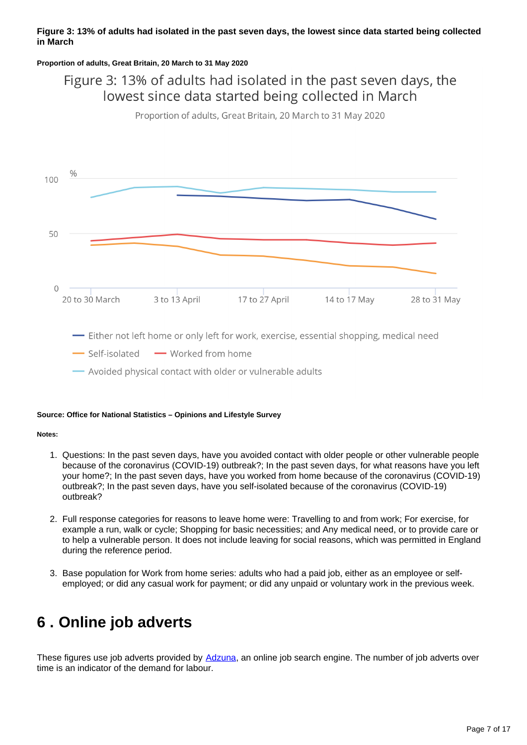### **Figure 3: 13% of adults had isolated in the past seven days, the lowest since data started being collected in March**

#### **Proportion of adults, Great Britain, 20 March to 31 May 2020**

## Figure 3: 13% of adults had isolated in the past seven days, the lowest since data started being collected in March

Proportion of adults, Great Britain, 20 March to 31 May 2020



- Either not left home or only left for work, exercise, essential shopping, medical need

Self-isolated - Worked from home

Avoided physical contact with older or vulnerable adults

#### **Source: Office for National Statistics – Opinions and Lifestyle Survey**

#### **Notes:**

- 1. Questions: In the past seven days, have you avoided contact with older people or other vulnerable people because of the coronavirus (COVID-19) outbreak?; In the past seven days, for what reasons have you left your home?; In the past seven days, have you worked from home because of the coronavirus (COVID-19) outbreak?; In the past seven days, have you self-isolated because of the coronavirus (COVID-19) outbreak?
- 2. Full response categories for reasons to leave home were: Travelling to and from work; For exercise, for example a run, walk or cycle; Shopping for basic necessities; and Any medical need, or to provide care or to help a vulnerable person. It does not include leaving for social reasons, which was permitted in England during the reference period.
- 3. Base population for Work from home series: adults who had a paid job, either as an employee or selfemployed; or did any casual work for payment; or did any unpaid or voluntary work in the previous week.

## <span id="page-6-0"></span>**6 . Online job adverts**

These figures use job adverts provided by [Adzuna,](https://www.adzuna.co.uk/) an online job search engine. The number of job adverts over time is an indicator of the demand for labour.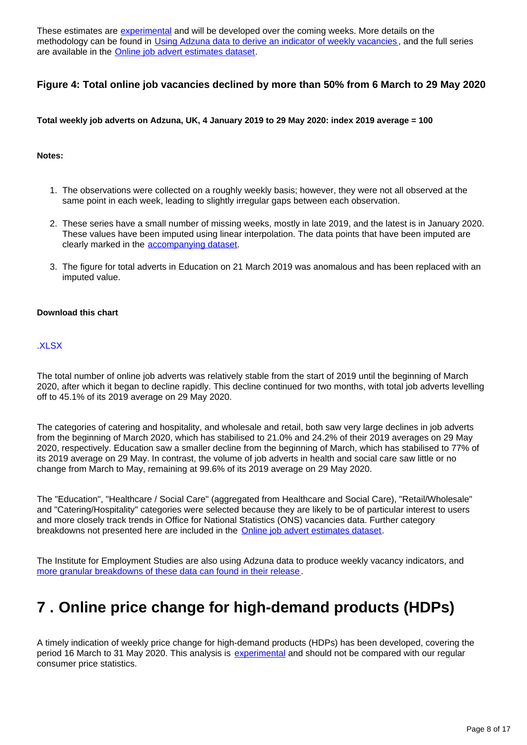These estimates are [experimental](https://www.ons.gov.uk/methodology/methodologytopicsandstatisticalconcepts/guidetoexperimentalstatistics) and will be developed over the coming weeks. More details on the methodology can be found in [Using Adzuna data to derive an indicator of weekly vacancies](https://www.ons.gov.uk/peoplepopulationandcommunity/healthandsocialcare/conditionsanddiseases/methodologies/usingadzunadatatoderiveanindicatorofweeklyvacanciesexperimentalstatistics), and the full series are available in the [Online job advert estimates dataset](https://www.ons.gov.uk/economy/economicoutputandproductivity/output/datasets/onlinejobadvertestimates).

### **Figure 4: Total online job vacancies declined by more than 50% from 6 March to 29 May 2020**

**Total weekly job adverts on Adzuna, UK, 4 January 2019 to 29 May 2020: index 2019 average = 100**

#### **Notes:**

- 1. The observations were collected on a roughly weekly basis; however, they were not all observed at the same point in each week, leading to slightly irregular gaps between each observation.
- 2. These series have a small number of missing weeks, mostly in late 2019, and the latest is in January 2020. These values have been imputed using linear interpolation. The data points that have been imputed are clearly marked in the [accompanying dataset](https://www.ons.gov.uk/economy/economicoutputandproductivity/output/datasets/onlinejobadvertestimates).
- 3. The figure for total adverts in Education on 21 March 2019 was anomalous and has been replaced with an imputed value.

#### **Download this chart**

### [.XLSX](https://www.ons.gov.uk/visualisations/dvc840/vacs/datadownload.xlsx)

The total number of online job adverts was relatively stable from the start of 2019 until the beginning of March 2020, after which it began to decline rapidly. This decline continued for two months, with total job adverts levelling off to 45.1% of its 2019 average on 29 May 2020.

The categories of catering and hospitality, and wholesale and retail, both saw very large declines in job adverts from the beginning of March 2020, which has stabilised to 21.0% and 24.2% of their 2019 averages on 29 May 2020, respectively. Education saw a smaller decline from the beginning of March, which has stabilised to 77% of its 2019 average on 29 May. In contrast, the volume of job adverts in health and social care saw little or no change from March to May, remaining at 99.6% of its 2019 average on 29 May 2020.

The "Education", "Healthcare / Social Care" (aggregated from Healthcare and Social Care), "Retail/Wholesale" and "Catering/Hospitality" categories were selected because they are likely to be of particular interest to users and more closely track trends in Office for National Statistics (ONS) vacancies data. Further category breakdowns not presented here are included in the [Online job advert estimates dataset.](https://www.ons.gov.uk/economy/economicoutputandproductivity/output/datasets/onlinejobadvertestimates)

The Institute for Employment Studies are also using Adzuna data to produce weekly vacancy indicators, and [more granular breakdowns of these data can found in their release](https://www.employment-studies.co.uk/resource/weekly-vacancy-analysis-vacancy-trends-week-ending-24-may-2020).

## <span id="page-7-0"></span>**7 . Online price change for high-demand products (HDPs)**

A timely indication of weekly price change for high-demand products (HDPs) has been developed, covering the period 16 March to 31 May 2020. This analysis is [experimental](https://www.ons.gov.uk/methodology/methodologytopicsandstatisticalconcepts/guidetoexperimentalstatistics) and should not be compared with our regular consumer price statistics.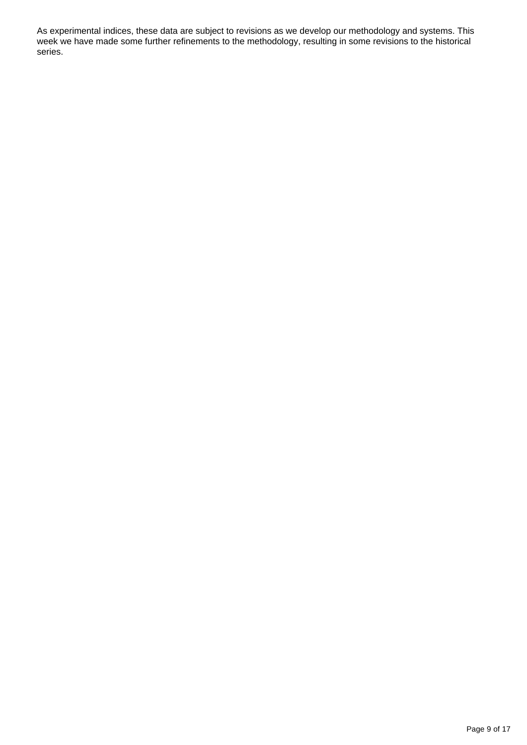As experimental indices, these data are subject to revisions as we develop our methodology and systems. This week we have made some further refinements to the methodology, resulting in some revisions to the historical series.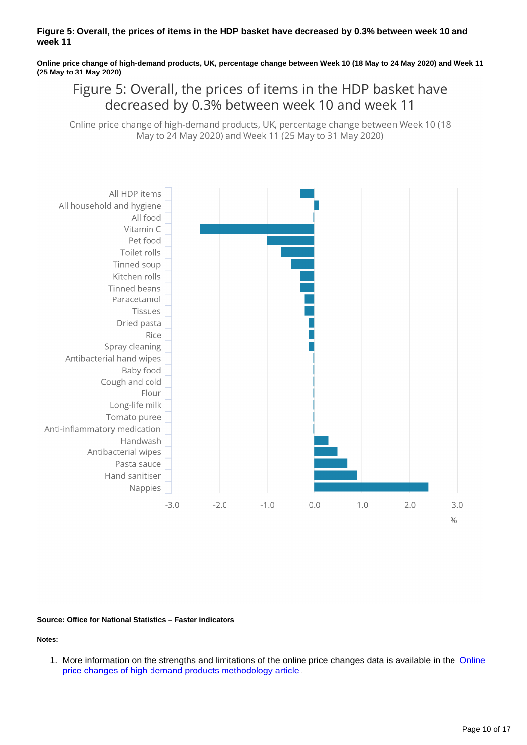#### **Figure 5: Overall, the prices of items in the HDP basket have decreased by 0.3% between week 10 and week 11**

**Online price change of high-demand products, UK, percentage change between Week 10 (18 May to 24 May 2020) and Week 11 (25 May to 31 May 2020)**

Figure 5: Overall, the prices of items in the HDP basket have decreased by 0.3% between week 10 and week 11

Online price change of high-demand products, UK, percentage change between Week 10 (18) May to 24 May 2020) and Week 11 (25 May to 31 May 2020)



#### **Source: Office for National Statistics – Faster indicators**

### **Notes:**

1. More information on the strengths and limitations of the online price changes data is available in the **Online** [price changes of high-demand products methodology article.](https://www.ons.gov.uk/peoplepopulationandcommunity/healthandsocialcare/conditionsanddiseases/methodologies/onlinepricechangesforhighdemandproductsmethodology)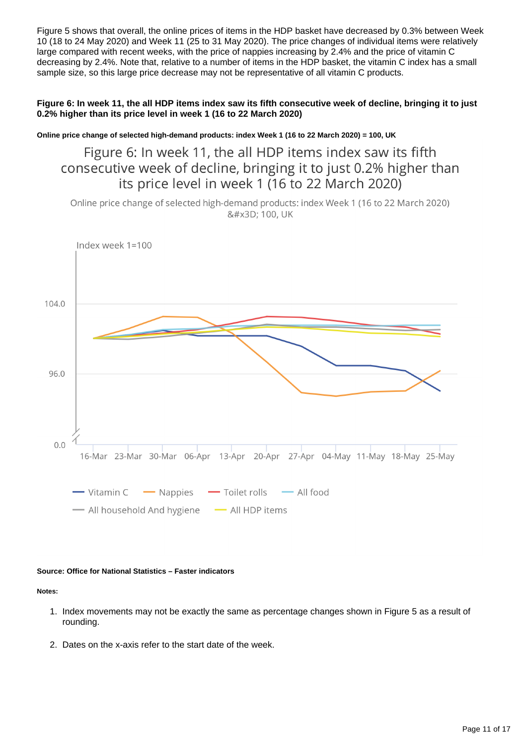Figure 5 shows that overall, the online prices of items in the HDP basket have decreased by 0.3% between Week 10 (18 to 24 May 2020) and Week 11 (25 to 31 May 2020). The price changes of individual items were relatively large compared with recent weeks, with the price of nappies increasing by 2.4% and the price of vitamin C decreasing by 2.4%. Note that, relative to a number of items in the HDP basket, the vitamin C index has a small sample size, so this large price decrease may not be representative of all vitamin C products.

**Figure 6: In week 11, the all HDP items index saw its fifth consecutive week of decline, bringing it to just 0.2% higher than its price level in week 1 (16 to 22 March 2020)**

**Online price change of selected high-demand products: index Week 1 (16 to 22 March 2020) = 100, UK**

Figure 6: In week 11, the all HDP items index saw its fifth consecutive week of decline, bringing it to just 0.2% higher than its price level in week 1 (16 to 22 March 2020)

Online price change of selected high-demand products: index Week 1 (16 to 22 March 2020) = 100, UK



#### **Source: Office for National Statistics – Faster indicators**

#### **Notes:**

- 1. Index movements may not be exactly the same as percentage changes shown in Figure 5 as a result of rounding.
- 2. Dates on the x-axis refer to the start date of the week.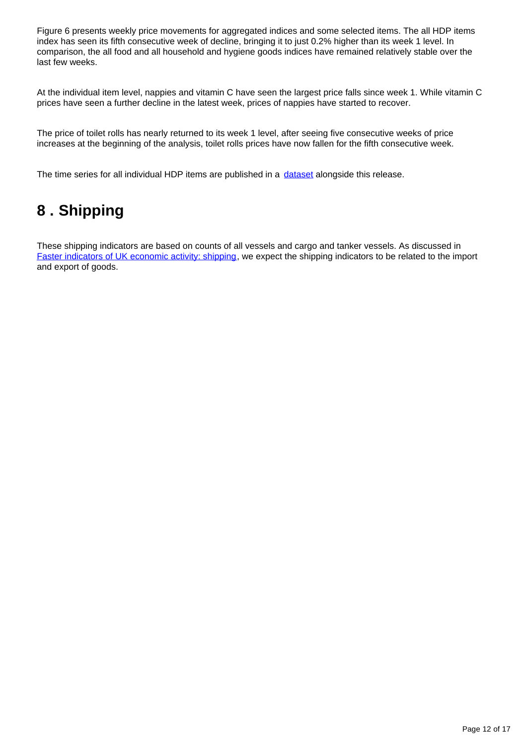Figure 6 presents weekly price movements for aggregated indices and some selected items. The all HDP items index has seen its fifth consecutive week of decline, bringing it to just 0.2% higher than its week 1 level. In comparison, the all food and all household and hygiene goods indices have remained relatively stable over the last few weeks.

At the individual item level, nappies and vitamin C have seen the largest price falls since week 1. While vitamin C prices have seen a further decline in the latest week, prices of nappies have started to recover.

The price of toilet rolls has nearly returned to its week 1 level, after seeing five consecutive weeks of price increases at the beginning of the analysis, toilet rolls prices have now fallen for the fifth consecutive week.

The time series for all individual HDP items are published in a [dataset](https://www.ons.gov.uk/economy/inflationandpriceindices/datasets/onlinepricechangesforhighdemandproducts) alongside this release.

## <span id="page-11-0"></span>**8 . Shipping**

These shipping indicators are based on counts of all vessels and cargo and tanker vessels. As discussed in [Faster indicators of UK economic activity: shipping,](https://datasciencecampus.ons.gov.uk/projects/faster-indicators-of-uk-economic-activity-shipping/) we expect the shipping indicators to be related to the import and export of goods.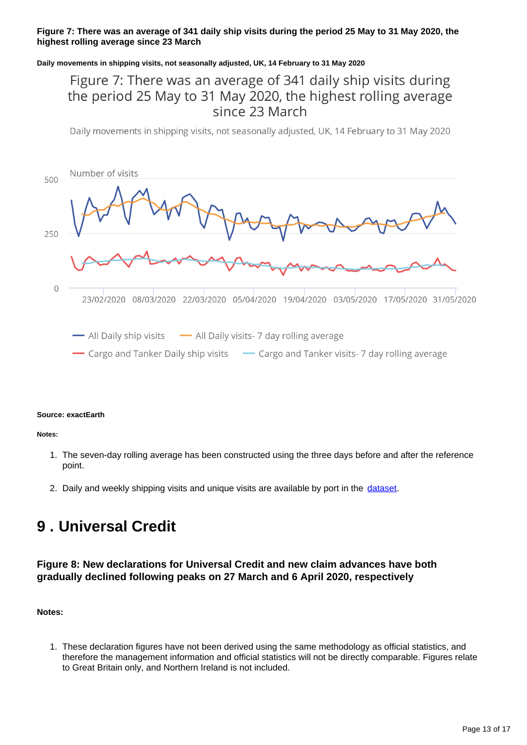### **Figure 7: There was an average of 341 daily ship visits during the period 25 May to 31 May 2020, the highest rolling average since 23 March**

### **Daily movements in shipping visits, not seasonally adjusted, UK, 14 February to 31 May 2020**

### Figure 7: There was an average of 341 daily ship visits during the period 25 May to 31 May 2020, the highest rolling average since 23 March

Daily movements in shipping visits, not seasonally adjusted, UK, 14 February to 31 May 2020



#### **Source: exactEarth**

**Notes:**

- 1. The seven-day rolling average has been constructed using the three days before and after the reference point.
- 2. Daily and weekly shipping visits and unique visits are available by port in the [dataset](https://www.ons.gov.uk/economy/economicoutputandproductivity/output/datasets/weeklyshippingindicators).

## <span id="page-12-0"></span>**9 . Universal Credit**

### **Figure 8: New declarations for Universal Credit and new claim advances have both gradually declined following peaks on 27 March and 6 April 2020, respectively**

**Notes:**

1. These declaration figures have not been derived using the same methodology as official statistics, and therefore the management information and official statistics will not be directly comparable. Figures relate to Great Britain only, and Northern Ireland is not included.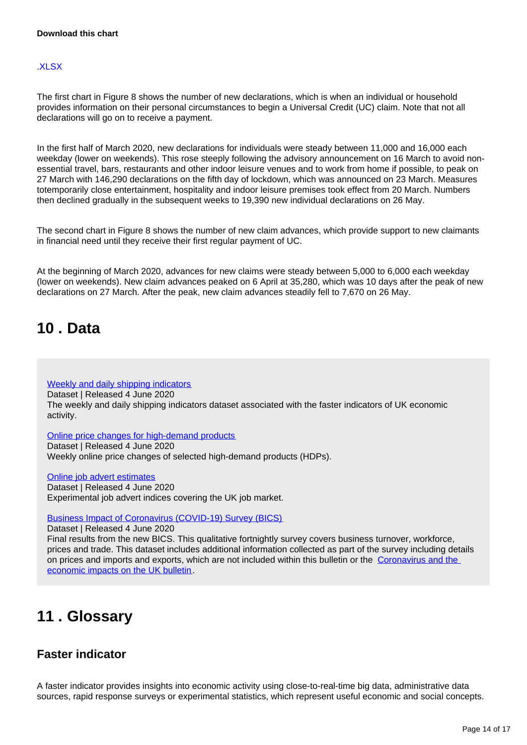### [.XLSX](https://www.ons.gov.uk/visualisations/dvc840/uncr/wrapper/datadownload.xlsx)

The first chart in Figure 8 shows the number of new declarations, which is when an individual or household provides information on their personal circumstances to begin a Universal Credit (UC) claim. Note that not all declarations will go on to receive a payment.

In the first half of March 2020, new declarations for individuals were steady between 11,000 and 16,000 each weekday (lower on weekends). This rose steeply following the advisory announcement on 16 March to avoid nonessential travel, bars, restaurants and other indoor leisure venues and to work from home if possible, to peak on 27 March with 146,290 declarations on the fifth day of lockdown, which was announced on 23 March. Measures totemporarily close entertainment, hospitality and indoor leisure premises took effect from 20 March. Numbers then declined gradually in the subsequent weeks to 19,390 new individual declarations on 26 May.

The second chart in Figure 8 shows the number of new claim advances, which provide support to new claimants in financial need until they receive their first regular payment of UC.

At the beginning of March 2020, advances for new claims were steady between 5,000 to 6,000 each weekday (lower on weekends). New claim advances peaked on 6 April at 35,280, which was 10 days after the peak of new declarations on 27 March. After the peak, new claim advances steadily fell to 7,670 on 26 May.

## <span id="page-13-0"></span>**10 . Data**

[Weekly and daily shipping indicators](https://www.ons.gov.uk/economy/economicoutputandproductivity/output/datasets/weeklyshippingindicators) Dataset | Released 4 June 2020

The weekly and daily shipping indicators dataset associated with the faster indicators of UK economic activity.

[Online price changes for high-demand products](https://www.ons.gov.uk/economy/inflationandpriceindices/datasets/onlinepricechangesforhighdemandproducts) Dataset | Released 4 June 2020 Weekly online price changes of selected high-demand products (HDPs).

[Online job advert estimates](https://www.ons.gov.uk/economy/economicoutputandproductivity/output/datasets/onlinejobadvertestimates) Dataset | Released 4 June 2020 Experimental job advert indices covering the UK job market.

[Business Impact of Coronavirus \(COVID-19\) Survey \(BICS\)](https://www.ons.gov.uk/economy/economicoutputandproductivity/output/datasets/businessimpactofcovid19surveybics)

Dataset | Released 4 June 2020

Final results from the new BICS. This qualitative fortnightly survey covers business turnover, workforce, prices and trade. This dataset includes additional information collected as part of the survey including details on prices and imports and exports, which are not included within this bulletin or the [Coronavirus and the](https://www.ons.gov.uk/businessindustryandtrade/business/businessservices/bulletins/coronavirusandtheeconomicimpactsontheuk/21may2020#measuring-the-data)  [economic impacts on the UK bulletin](https://www.ons.gov.uk/businessindustryandtrade/business/businessservices/bulletins/coronavirusandtheeconomicimpactsontheuk/21may2020#measuring-the-data).

## <span id="page-13-1"></span>**11 . Glossary**

### **Faster indicator**

A faster indicator provides insights into economic activity using close-to-real-time big data, administrative data sources, rapid response surveys or experimental statistics, which represent useful economic and social concepts.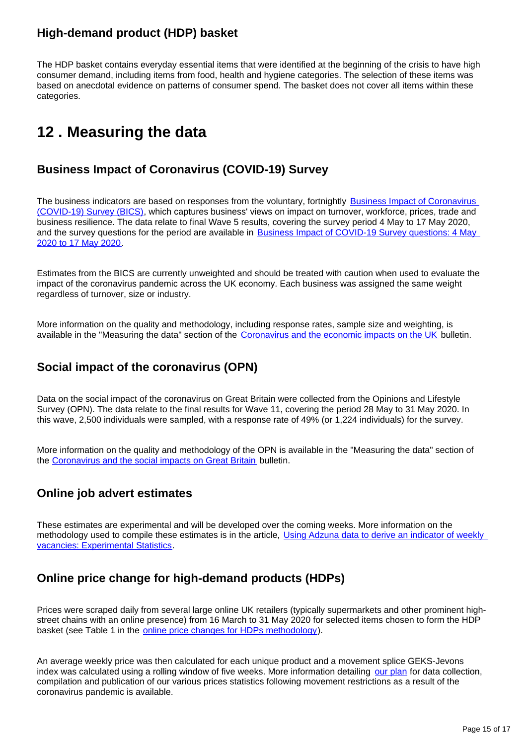### **High-demand product (HDP) basket**

The HDP basket contains everyday essential items that were identified at the beginning of the crisis to have high consumer demand, including items from food, health and hygiene categories. The selection of these items was based on anecdotal evidence on patterns of consumer spend. The basket does not cover all items within these categories.

## <span id="page-14-0"></span>**12 . Measuring the data**

### **Business Impact of Coronavirus (COVID-19) Survey**

The business indicators are based on responses from the voluntary, fortnightly Business Impact of Coronavirus [\(COVID-19\) Survey \(BICS\)](https://www.ons.gov.uk/surveys/informationforbusinesses/businesssurveys/businessimpactofcoronaviruscovid19survey), which captures business' views on impact on turnover, workforce, prices, trade and business resilience. The data relate to final Wave 5 results, covering the survey period 4 May to 17 May 2020, and the survey questions for the period are available in [Business Impact of COVID-19 Survey questions: 4 May](https://www.ons.gov.uk/peoplepopulationandcommunity/healthandsocialcare/conditionsanddiseases/articles/businessimpactofcovid19surveyquestions/wave5)  [2020 to 17 May 2020](https://www.ons.gov.uk/peoplepopulationandcommunity/healthandsocialcare/conditionsanddiseases/articles/businessimpactofcovid19surveyquestions/wave5).

Estimates from the BICS are currently unweighted and should be treated with caution when used to evaluate the impact of the coronavirus pandemic across the UK economy. Each business was assigned the same weight regardless of turnover, size or industry.

More information on the quality and methodology, including response rates, sample size and weighting, is available in the "Measuring the data" section of the [Coronavirus and the economic impacts on the UK](https://www.ons.gov.uk/businessindustryandtrade/business/businessservices/bulletins/coronavirusandtheeconomicimpactsontheuk/4june2020#measuring-the-data) bulletin.

### **Social impact of the coronavirus (OPN)**

Data on the social impact of the coronavirus on Great Britain were collected from the Opinions and Lifestyle Survey (OPN). The data relate to the final results for Wave 11, covering the period 28 May to 31 May 2020. In this wave, 2,500 individuals were sampled, with a response rate of 49% (or 1,224 individuals) for the survey.

More information on the quality and methodology of the OPN is available in the "Measuring the data" section of the [Coronavirus and the social impacts on Great Britain](https://www.ons.gov.uk/releases/coronavirusandthesocialimpactsongreatbritain5june2020) bulletin.

### **Online job advert estimates**

These estimates are experimental and will be developed over the coming weeks. More information on the methodology used to compile these estimates is in the article, Using Adzuna data to derive an indicator of weekly [vacancies: Experimental Statistics.](https://www.ons.gov.uk/peoplepopulationandcommunity/healthandsocialcare/conditionsanddiseases/methodologies/usingadzunadatatoderiveanindicatorofweeklyvacanciesexperimentalstatistics)

### **Online price change for high-demand products (HDPs)**

Prices were scraped daily from several large online UK retailers (typically supermarkets and other prominent highstreet chains with an online presence) from 16 March to 31 May 2020 for selected items chosen to form the HDP basket (see Table 1 in the [online price changes for HDPs methodology\)](https://www.ons.gov.uk/peoplepopulationandcommunity/healthandsocialcare/conditionsanddiseases/methodologies/onlinepricechangesforhighdemandproductsmethodology).

An average weekly price was then calculated for each unique product and a movement splice GEKS-Jevons index was calculated using a rolling window of five weeks. More information detailing [our plan](https://www.ons.gov.uk/economy/inflationandpriceindices/articles/coronavirusandtheeffectsonukprices/2020-05-06) for data collection, compilation and publication of our various prices statistics following movement restrictions as a result of the coronavirus pandemic is available.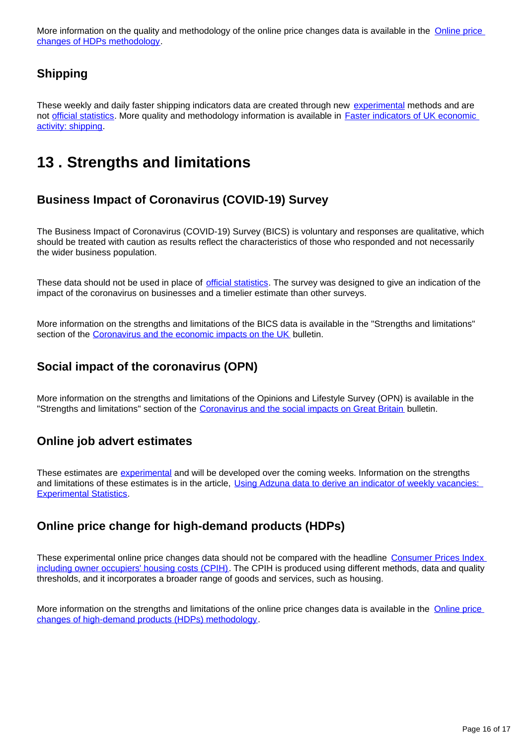More information on the quality and methodology of the online price changes data is available in the Online price [changes of HDPs methodology](https://www.ons.gov.uk/peoplepopulationandcommunity/healthandsocialcare/conditionsanddiseases/methodologies/onlinepricechangesforhighdemandproductsmethodology).

### **Shipping**

These weekly and daily faster shipping indicators data are created through new [experimental](https://www.ons.gov.uk/methodology/methodologytopicsandstatisticalconcepts/guidetoexperimentalstatistics) methods and are not [official statistics](https://www.statisticsauthority.gov.uk/about-the-authority/uk-statistical-system/types-of-official-statistics/). More quality and methodology information is available in [Faster indicators of UK economic](https://datasciencecampus.ons.gov.uk/projects/faster-indicators-of-uk-economic-activity-shipping/)  [activity: shipping.](https://datasciencecampus.ons.gov.uk/projects/faster-indicators-of-uk-economic-activity-shipping/)

## <span id="page-15-0"></span>**13 . Strengths and limitations**

### **Business Impact of Coronavirus (COVID-19) Survey**

The Business Impact of Coronavirus (COVID-19) Survey (BICS) is voluntary and responses are qualitative, which should be treated with caution as results reflect the characteristics of those who responded and not necessarily the wider business population.

These data should not be used in place of *[official statistics](https://www.statisticsauthority.gov.uk/about-the-authority/uk-statistical-system/types-of-official-statistics/)*. The survey was designed to give an indication of the impact of the coronavirus on businesses and a timelier estimate than other surveys.

More information on the strengths and limitations of the BICS data is available in the "Strengths and limitations" section of the [Coronavirus and the economic impacts on the UK](https://www.ons.gov.uk/businessindustryandtrade/business/businessservices/bulletins/coronavirusandtheeconomicimpactsontheuk/4june2020#strengths-and-limitations) bulletin.

### **Social impact of the coronavirus (OPN)**

More information on the strengths and limitations of the Opinions and Lifestyle Survey (OPN) is available in the "Strengths and limitations" section of the [Coronavirus and the social impacts on Great Britain](https://www.ons.gov.uk/releases/coronavirusandthesocialimpactsongreatbritain5june2020) bulletin.

### **Online job advert estimates**

These estimates are [experimental](https://www.ons.gov.uk/methodology/methodologytopicsandstatisticalconcepts/guidetoexperimentalstatistics) and will be developed over the coming weeks. Information on the strengths and limitations of these estimates is in the article, Using Adzuna data to derive an indicator of weekly vacancies: [Experimental Statistics](https://www.ons.gov.uk/peoplepopulationandcommunity/healthandsocialcare/conditionsanddiseases/methodologies/usingadzunadatatoderiveanindicatorofweeklyvacanciesexperimentalstatistics).

### **Online price change for high-demand products (HDPs)**

These experimental online price changes data should not be compared with the headline [Consumer Prices Index](https://www.ons.gov.uk/economy/inflationandpriceindices/bulletins/consumerpriceinflation/latest)  [including owner occupiers' housing costs \(CPIH\)](https://www.ons.gov.uk/economy/inflationandpriceindices/bulletins/consumerpriceinflation/latest). The CPIH is produced using different methods, data and quality thresholds, and it incorporates a broader range of goods and services, such as housing.

More information on the strengths and limitations of the online price changes data is available in the Online price [changes of high-demand products \(HDPs\) methodology](https://www.ons.gov.uk/peoplepopulationandcommunity/healthandsocialcare/conditionsanddiseases/methodologies/onlinepricechangesforhighdemandproductsmethodology).